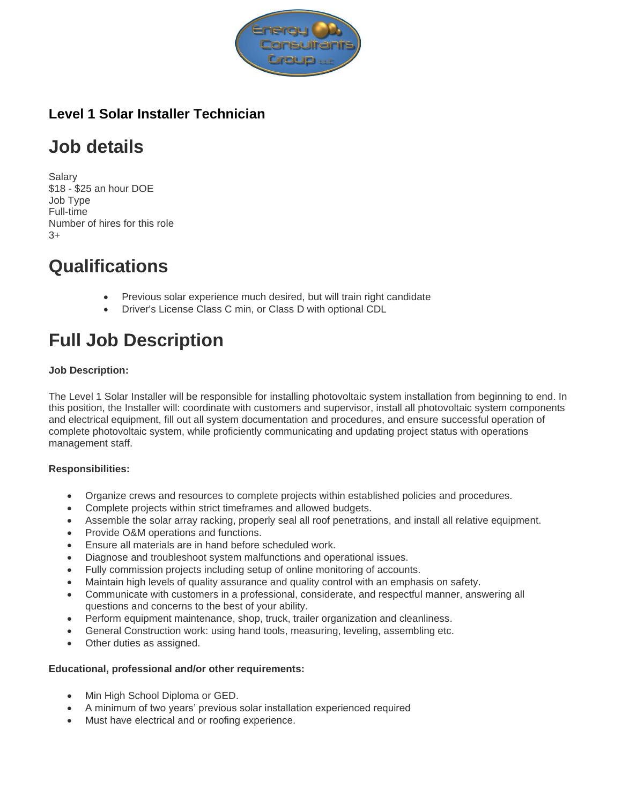

### **Level 1 Solar Installer Technician**

# **Job details**

Salary \$18 - \$25 an hour DOE Job Type Full-time Number of hires for this role  $2+$ 

### **Qualifications**

- Previous solar experience much desired, but will train right candidate
- Driver's License Class C min, or Class D with optional CDL

# **Full Job Description**

#### **Job Description:**

The Level 1 Solar Installer will be responsible for installing photovoltaic system installation from beginning to end. In this position, the Installer will: coordinate with customers and supervisor, install all photovoltaic system components and electrical equipment, fill out all system documentation and procedures, and ensure successful operation of complete photovoltaic system, while proficiently communicating and updating project status with operations management staff.

### **Responsibilities:**

- Organize crews and resources to complete projects within established policies and procedures.
- Complete projects within strict timeframes and allowed budgets.
- Assemble the solar array racking, properly seal all roof penetrations, and install all relative equipment.
- Provide O&M operations and functions.
- Ensure all materials are in hand before scheduled work.
- Diagnose and troubleshoot system malfunctions and operational issues.
- Fully commission projects including setup of online monitoring of accounts.
- Maintain high levels of quality assurance and quality control with an emphasis on safety.
- Communicate with customers in a professional, considerate, and respectful manner, answering all questions and concerns to the best of your ability.
- Perform equipment maintenance, shop, truck, trailer organization and cleanliness.
- General Construction work: using hand tools, measuring, leveling, assembling etc.
- Other duties as assigned.

#### **Educational, professional and/or other requirements:**

- Min High School Diploma or GED.
- A minimum of two years' previous solar installation experienced required
- Must have electrical and or roofing experience.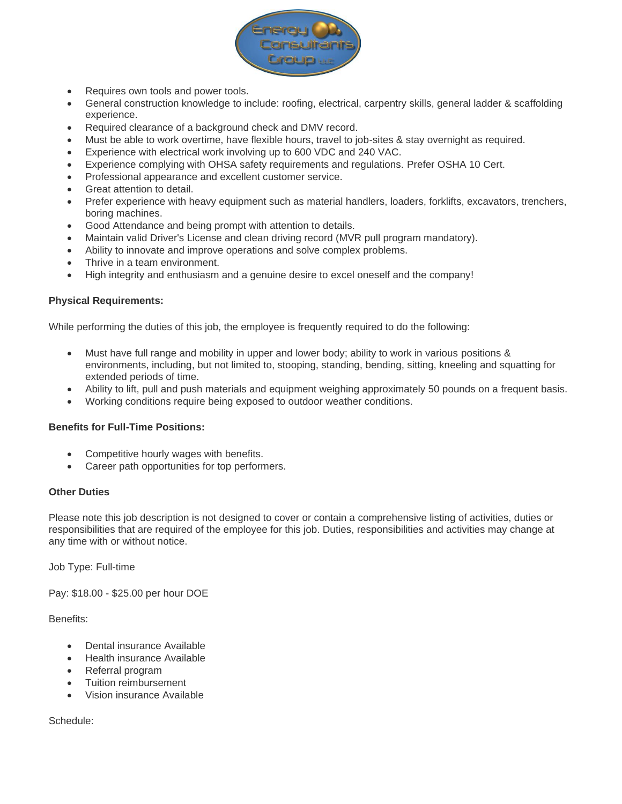

- Requires own tools and power tools.
- General construction knowledge to include: roofing, electrical, carpentry skills, general ladder & scaffolding experience.
- Required clearance of a background check and DMV record.
- Must be able to work overtime, have flexible hours, travel to job-sites & stay overnight as required.
- Experience with electrical work involving up to 600 VDC and 240 VAC.
- Experience complying with OHSA safety requirements and regulations. Prefer OSHA 10 Cert.
- Professional appearance and excellent customer service.
- Great attention to detail.
- Prefer experience with heavy equipment such as material handlers, loaders, forklifts, excavators, trenchers, boring machines.
- Good Attendance and being prompt with attention to details.
- Maintain valid Driver's License and clean driving record (MVR pull program mandatory).
- Ability to innovate and improve operations and solve complex problems.
- Thrive in a team environment.
- High integrity and enthusiasm and a genuine desire to excel oneself and the company!

#### **Physical Requirements:**

While performing the duties of this job, the employee is frequently required to do the following:

- Must have full range and mobility in upper and lower body; ability to work in various positions & environments, including, but not limited to, stooping, standing, bending, sitting, kneeling and squatting for extended periods of time.
- Ability to lift, pull and push materials and equipment weighing approximately 50 pounds on a frequent basis.
- Working conditions require being exposed to outdoor weather conditions.

#### **Benefits for Full-Time Positions:**

- Competitive hourly wages with benefits.
- Career path opportunities for top performers.

#### **Other Duties**

Please note this job description is not designed to cover or contain a comprehensive listing of activities, duties or responsibilities that are required of the employee for this job. Duties, responsibilities and activities may change at any time with or without notice.

Job Type: Full-time

Pay: \$18.00 - \$25.00 per hour DOE

Benefits:

- Dental insurance Available
- Health insurance Available
- Referral program
- Tuition reimbursement
- Vision insurance Available

Schedule: